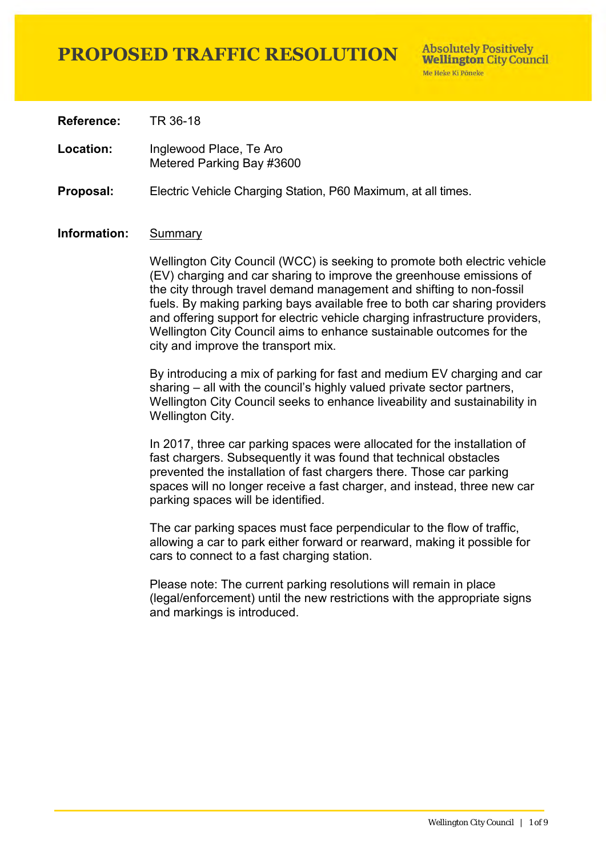**Absolutely Positively Wellington City Council** Me Heke Ki Pôneke

**Reference:** TR 36-18

Location: Inglewood Place, Te Aro Metered Parking Bay #3600

**Proposal:** Electric Vehicle Charging Station, P60 Maximum, at all times.

### **Information:** Summary

Wellington City Council (WCC) is seeking to promote both electric vehicle (EV) charging and car sharing to improve the greenhouse emissions of the city through travel demand management and shifting to non-fossil fuels. By making parking bays available free to both car sharing providers and offering support for electric vehicle charging infrastructure providers, Wellington City Council aims to enhance sustainable outcomes for the city and improve the transport mix.

By introducing a mix of parking for fast and medium EV charging and car sharing – all with the council's highly valued private sector partners, Wellington City Council seeks to enhance liveability and sustainability in Wellington City.

In 2017, three car parking spaces were allocated for the installation of fast chargers. Subsequently it was found that technical obstacles prevented the installation of fast chargers there. Those car parking spaces will no longer receive a fast charger, and instead, three new car parking spaces will be identified.

The car parking spaces must face perpendicular to the flow of traffic, allowing a car to park either forward or rearward, making it possible for cars to connect to a fast charging station.

Please note: The current parking resolutions will remain in place (legal/enforcement) until the new restrictions with the appropriate signs and markings is introduced.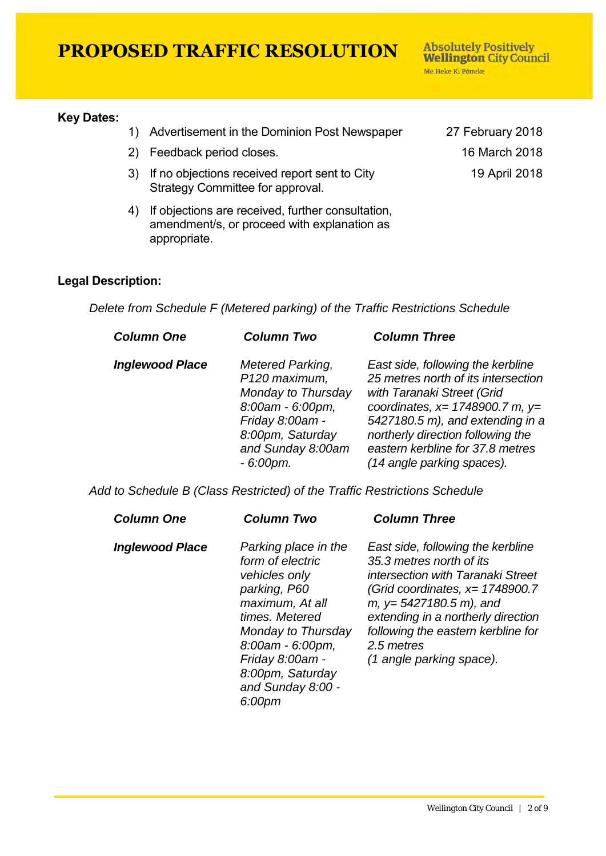#### **Key Dates:**

- 1) Advertisement in the Dominion Post Newspaper 27 February 2018
- 2) Feedback period closes. 16 March 2018
- 3) If no objections received report sent to City Strategy Committee for approval.
- 4) If objections are received, further consultation, amendment/s, or proceed with explanation as appropriate.

19 April 2018

**Absolutely Positively Wellington City Council** 

Me Heke Ki Pôneke

### **Legal Description:**

*Delete from Schedule F (Metered parking) of the Traffic Restrictions Schedule* 

| <b>Column One</b>      | <b>Column Two</b>                                                                                                                                      | <b>Column Three</b>                                                                                                                                                                                                                                                                      |
|------------------------|--------------------------------------------------------------------------------------------------------------------------------------------------------|------------------------------------------------------------------------------------------------------------------------------------------------------------------------------------------------------------------------------------------------------------------------------------------|
| <b>Inglewood Place</b> | Metered Parking,<br>P120 maximum,<br>Monday to Thursday<br>8:00am - 6:00pm,<br>Friday 8:00am -<br>8:00pm, Saturday<br>and Sunday 8:00am<br>$-6:00$ pm. | East side, following the kerbline<br>25 metres north of its intersection<br>with Taranaki Street (Grid<br>coordinates, $x=$ 1748900.7 m, $y=$<br>5427180.5 m), and extending in a<br>northerly direction following the<br>eastern kerbline for 37.8 metres<br>(14 angle parking spaces). |

*Add to Schedule B (Class Restricted) of the Traffic Restrictions Schedule* 

| <b>Column One</b>      | <b>Column Two</b>                                                                                                                                                                                                              | <b>Column Three</b>                                                                                                                                                                                                                                                                      |
|------------------------|--------------------------------------------------------------------------------------------------------------------------------------------------------------------------------------------------------------------------------|------------------------------------------------------------------------------------------------------------------------------------------------------------------------------------------------------------------------------------------------------------------------------------------|
| <b>Inglewood Place</b> | Parking place in the<br>form of electric<br>vehicles only<br>parking, P60<br>maximum, At all<br>times. Metered<br>Monday to Thursday<br>8:00am - 6:00pm,<br>Friday 8:00am -<br>8:00pm, Saturday<br>and Sunday 8:00 -<br>6:00pm | East side, following the kerbline<br>35.3 metres north of its<br>intersection with Taranaki Street<br>(Grid coordinates, $x=1748900.7$<br>$m, y=5427180.5 m$ , and<br>extending in a northerly direction<br>following the eastern kerbline for<br>2.5 metres<br>(1 angle parking space). |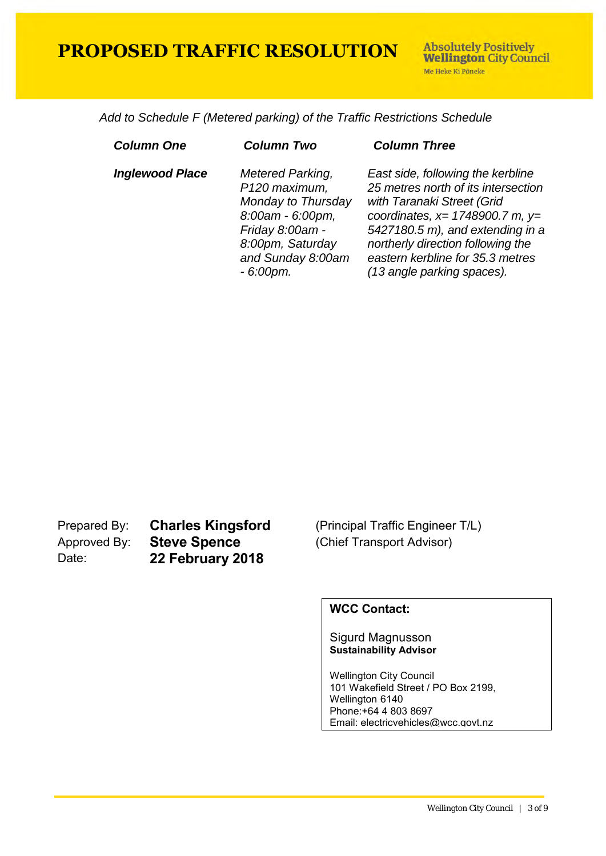**Absolutely Positively Wellington City Council** Me Heke Ki Põneke

 *Add to Schedule F (Metered parking) of the Traffic Restrictions Schedule* 

| <b>Column One</b>      | <b>Column Two</b>                                                                                                                                             | <b>Column Three</b>                                                                                                                                                                                                                                                                      |
|------------------------|---------------------------------------------------------------------------------------------------------------------------------------------------------------|------------------------------------------------------------------------------------------------------------------------------------------------------------------------------------------------------------------------------------------------------------------------------------------|
| <b>Inglewood Place</b> | <b>Metered Parking,</b><br>P120 maximum,<br>Monday to Thursday<br>8:00am - 6:00pm,<br>Friday 8:00am -<br>8:00pm, Saturday<br>and Sunday 8:00am<br>$-6:00$ pm. | East side, following the kerbline<br>25 metres north of its intersection<br>with Taranaki Street (Grid<br>coordinates, $x=$ 1748900.7 m, $y=$<br>5427180.5 m), and extending in a<br>northerly direction following the<br>eastern kerbline for 35.3 metres<br>(13 angle parking spaces). |

Prepared By: **Charles Kingsford** (Principal Traffic Engineer T/L)<br>Approved By: **Steve Spence** (Chief Transport Advisor) Approved By: **Steve Spence** (Chief Transport Advisor) Date: **22 February 2018**

### **WCC Contact:**

#### Sigurd Magnusson **Sustainability Advisor**

Wellington City Council 101 Wakefield Street / PO Box 2199, Wellington 6140 Phone:+64 4 803 8697 Email: electricvehicles@wcc.govt.nz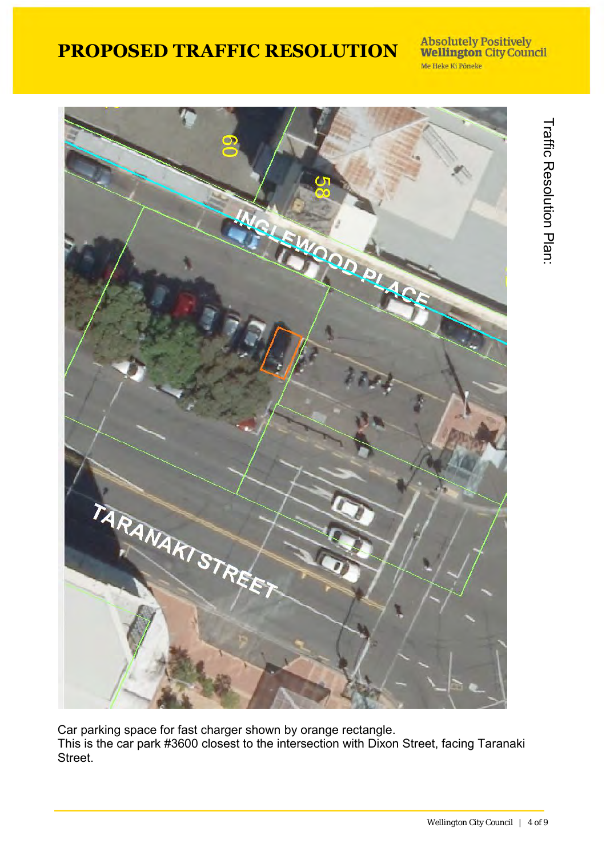## Absolutely Positively<br>Wellington City Council Me Heke Ki Pôneke



Car parking space for fast charger shown by orange rectangle. This is the car park #3600 closest to the intersection with Dixon Street, facing Taranaki Street.